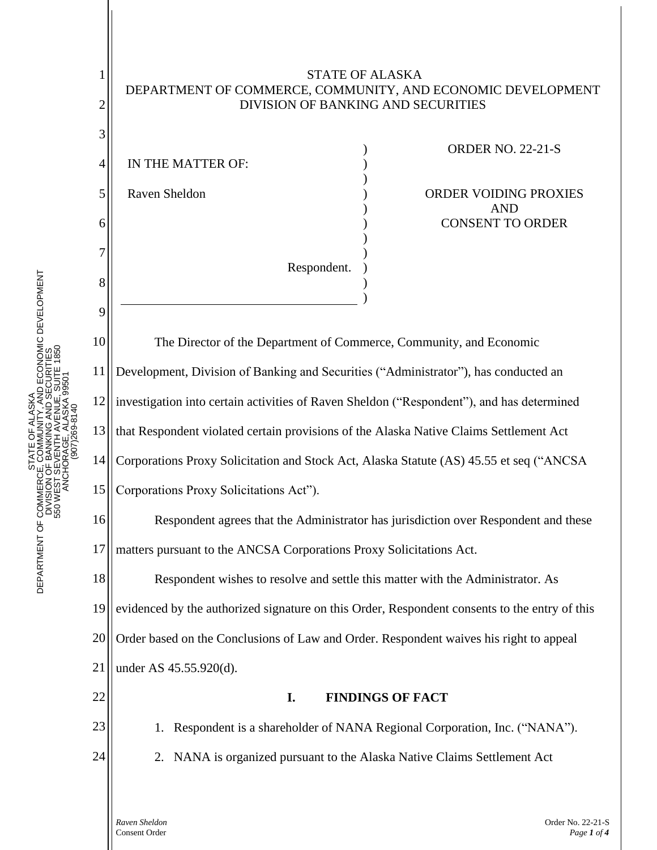

) ) ) ) ) ) ) ) ) )

)

4 5 6 7 IN THE MATTER OF: Raven Sheldon Respondent. ORDER NO. 22-21-S

ORDER VOIDING PROXIES AND CONSENT TO ORDER

10 12 13 14 15 The Director of the Department of Commerce, Community, and Economic Development, Division of Banking and Securities ("Administrator"), has conducted an investigation into certain activities of Raven Sheldon ("Respondent"), and has determined that Respondent violated certain provisions of the Alaska Native Claims Settlement Act Corporations Proxy Solicitation and Stock Act, Alaska Statute (AS) 45.55 et seq ("ANCSA Corporations Proxy Solicitations Act").

16 17 Respondent agrees that the Administrator has jurisdiction over Respondent and these matters pursuant to the ANCSA Corporations Proxy Solicitations Act.

18 19 20 21 Respondent wishes to resolve and settle this matter with the Administrator. As evidenced by the authorized signature on this Order, Respondent consents to the entry of this Order based on the Conclusions of Law and Order. Respondent waives his right to appeal under AS 45.55.920(d).

## **I. FINDINGS OF FACT**

1. Respondent is a shareholder of NANA Regional Corporation, Inc. ("NANA"). 2. NANA is organized pursuant to the Alaska Native Claims Settlement Act

STATE OF ALASK DEPARTMENT OF COMMERCE, COMMUNITY, AND ECONOMIC DEVELOPMENT DIVISION OF BANKING AND SECURITI 550 WEST SEVENTH AVENUE, SUITE 1850 ANCHORAGE, ALASKA 995 PHONE: (907) 269-8140 STATE OF ALASKA DEPARTMENT OF COMMERCE, COMMUNITY, AND ECONOMIC DEVELOPMENT DIVISION OF BANKING AND SECURITIES 550 WEST SEVENTH AVENUE, SUITE 1850 ANCHORAGE, ALASKA 99501 STATE OF ALASKA<br>DEPARTMENT OF COMMERCE, COMMUNITY, AND ECONOMIC DEVELOPMENT<br>DIVISION OF BANKING AND SECURITIES<br>550 WEST SEVENTH AVENUE, SUITE 1850<br>ANCHORAGE, ALASKA 99501

3

8

9

11

22

23

24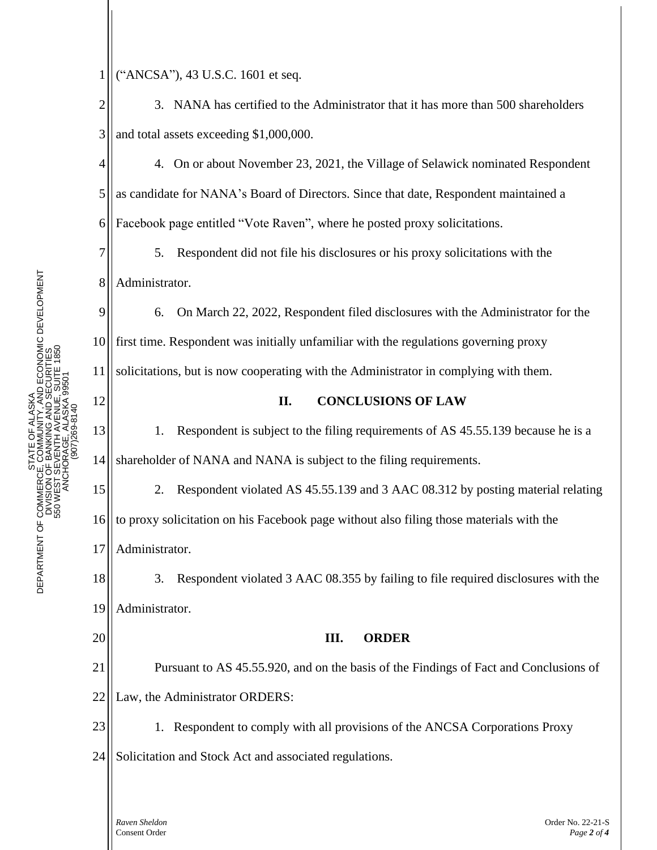STATE OF ALASK DEPARTMENT OF COMMERCE, COMMUNITY, AND ECONOMIC DEVELOPMENT DIVISION OF BANKING AND SECURITI 550 WEST SEVENTH AVENUE, SUITE 1850 ANCHORAGE, ALASKA 995 PHONE: (907) 269-8140 STATE OF ALASKA DEPARTMENT OF COMMERCE, COMMUNITY, AND ECONOMIC DEVELOPMENT DIVISION OF BANKING AND SECURITIES 550 WEST SEVENTH AVENUE, SUITE 1850 ANCHORAGE, ALASKA 99501 (907)269-8140 7

8

12

20

1 ("ANCSA"), 43 U.S.C. 1601 et seq.

2 3 3. NANA has certified to the Administrator that it has more than 500 shareholders and total assets exceeding \$1,000,000.

4 5 6 4. On or about November 23, 2021, the Village of Selawick nominated Respondent as candidate for NANA's Board of Directors. Since that date, Respondent maintained a Facebook page entitled "Vote Raven", where he posted proxy solicitations.

5. Respondent did not file his disclosures or his proxy solicitations with the Administrator.

9 10 11 6. On March 22, 2022, Respondent filed disclosures with the Administrator for the first time. Respondent was initially unfamiliar with the regulations governing proxy solicitations, but is now cooperating with the Administrator in complying with them.

## **II. CONCLUSIONS OF LAW**

13 14 1. Respondent is subject to the filing requirements of AS 45.55.139 because he is a shareholder of NANA and NANA is subject to the filing requirements.

15 16 17 2. Respondent violated AS 45.55.139 and 3 AAC 08.312 by posting material relating to proxy solicitation on his Facebook page without also filing those materials with the Administrator.

18 19 3. Respondent violated 3 AAC 08.355 by failing to file required disclosures with the Administrator.

## **III. ORDER**

21 22 Pursuant to AS 45.55.920, and on the basis of the Findings of Fact and Conclusions of Law, the Administrator ORDERS:

23 1. Respondent to comply with all provisions of the ANCSA Corporations Proxy

24 Solicitation and Stock Act and associated regulations.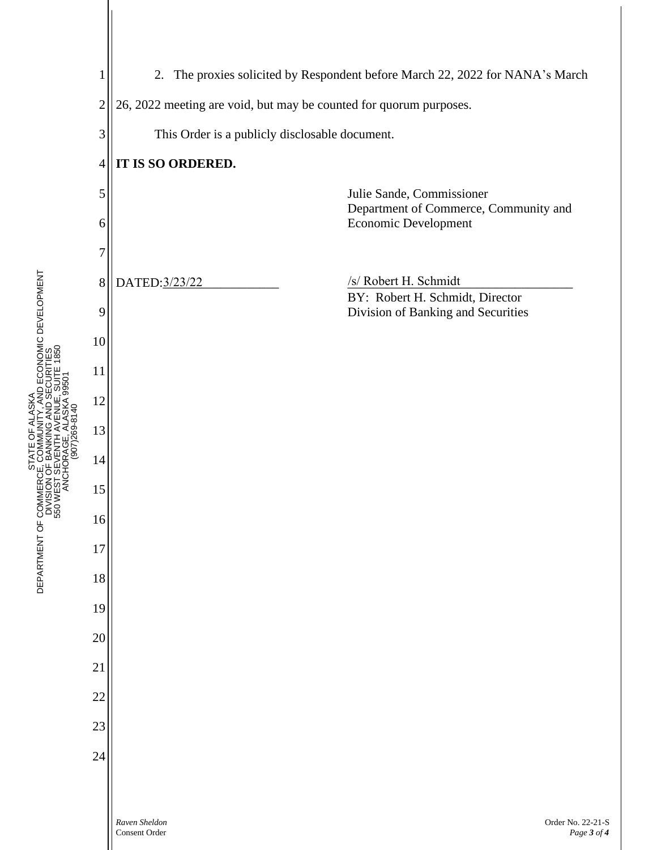